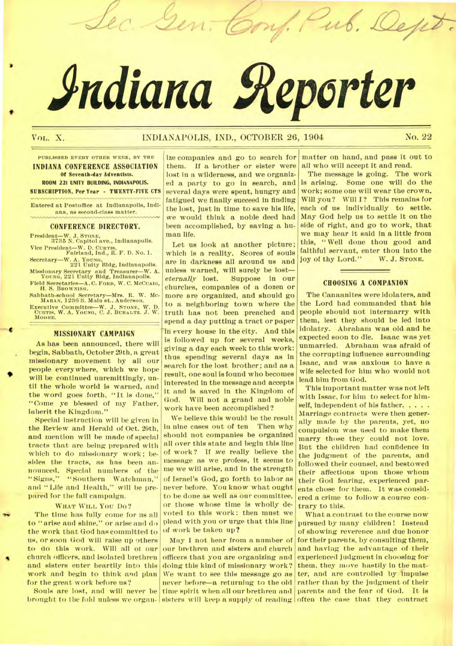# *indiana geporter*

Lec. Gen. Conf. Pub. Dept

## VoL. X. INDIANAPOLIS, IND., OCTOBER 26, 1904 No. 22

#### **PUBLISHED EVERY OTHER WEEK, BY THE INDIANA CONFERENCE ASSOCIATION Of Seventh-day Adventists. ROOM 221 UNITY BUILDING, INDIANAPOUS. SUBSCRIPTION. Per Year - TWENTY-FIVE CTS**

**Entered at Postoffice at Indianapolis, Indiana, as second-class matter.** 

#### **CONFERENCE DIRECTORY.**

**President—W. J. STONE, 3735 N. Capitol ave., Indianapolis. Vice President—W. D. CURTIS, Falriand, Ind., R. F. D. No. 1.** 

- **Secretary—W. A. YOUNG. 221 Unity Bldg, Indianapolis. Missionary Secretary and Treasurer—W. A. YOUNG, 221 Unity Bldg, Indianapolis.**
- **Field Secretaries—A. C. FORD, W. C. MCCUAIG, H. S. BROWNING.**
- **Sabbath-school Secretary—Mrs. R. W. MC-MAHAN, 1236 S. Main St.. Anderson.**

**Executive Committee—W. J. STONE, W. D. CURTIS, W. A. YOUNG, C. J. BUHALTZ. J. W. MOORE.** 

#### **MISSIONARY CAMPAIGN**

As has been announced, there will begin, Sabbath, October 29th, a great missionary movement by all our people everywhere, which we hope will be continued unremittingly, until the whole world is warned, and the word goes forth, "It is done," "Come ye blessed of my Father, inherit the Kingdom."

,

Special instruction will be given in the Review and Herald of Oct. 20th, and mention will be made of special tracts that are being prepared with which to do missionary work; besides the tracts, as has been announced, Special numbers of the "Signs," "Southern Watchman." "Southern Watchman," and " Life and Health," will be prepared for the fall campaign.

#### **WHAT WILL** You Do ?

The time has fully come for us all to "arise and shine," or arise and do the work that God has committed to us, or soon God will raise up others to do this work. Will all of our church officers, and isolated brethren and sisters enter heartily into this work and begin to think and plan for the great work before us?

brought to the fold unless we organ- sisters will keep a supply of reading often the case that they contract Souls are lost, and will never be

ize companies and go to search for them. If a brother or sister were lost in a wilderness, and we organized a party to go in search, and several days were spent, hungry and fatigued we finally succeed in finding the lost, just in time to save his life, we would think a noble deed had been accomplished, by saving a human life.

Let us look at another picture; which is a reality. Scores of souls are in darkness all around us and unless warned, will surely be  $lost—eternally$  lost. Suppose in our **Suppose in our** churches, companies of a dozen or more are organized, and should go to a neighboring town where the truth has not been preached and spend a day putting a tract or paper in every house in the city. And this is followed up for several weeks, giving a day each week to this work: thus spending several days as in search for the lost brother; and as a result, one soul is found who becomes interested in the message and accepts it and is saved in the Kingdom of God. Will not a grand and noble work have been accomplished?

We believe this would be the result in nine cases out of ten Then why should not companies be organized all over this state and begin this line of work? If we really believe the message as we profess, it seems to me we will arise, and in the strength of Israel's God, go forth to labor as never before. You know what ought to be done as well as our committee, or those whose time is wholly devoted to this work: then must we plead with you or urge that this line of work be taken up?

May I not bear from a number of our brethren and sisters and church officers that you are organizing and doing this kind of missionary work? We want to see this message go as never before—a returning to the old time spirit when all our brethren and

matter on hand, and pass it out to all who will accept it and read.

The message is going. The work is arising. Some one will do the work; some one will wear the crown. Will you? Will I? This remains for each of us individually to settle. May God help us to settle it on the side of right, and go to work, that we may hear it said in a little from this, " Well done thou good and faithful servant, enter thou into the<br>iov of thy Lord." W. J. STONE. joy of thy Lord."

#### **CHOOSING A COMPANION**

The Canaanites were idolaters, and the Lord had commanded that his people should not intermarry with them, lest they should be led into idolatry. Abraham was old and he expected soon to die. Isaac was yet unmarried. Abraham was afraid of the corrupting influence surrounding Isaac, and was anxious to have a wife selected for him who would not lead him from God.

This important matter was not left with Isaac, for him to select for himself, independent of his father. . . . . Marriage contracts were then generally made by the parents, yet, no compulsion was used to make them marry those they could not love. But the children had confidence in the judgment of the parents, and followed their counsel; and bestowed their affections upon those whom their God fearing, experienced parents chose for them. It was considered a crime to follow a course contrary to this.

What a contrast to the course now pursued by many children! Instead of showing reverence and due honor for their parents, by consulting them, and having the advantage of their experienced judgment in choosing for them, they move hastily in the matter, and are controlled by impulse rather than by the judgment of their parents and the fear of God. It is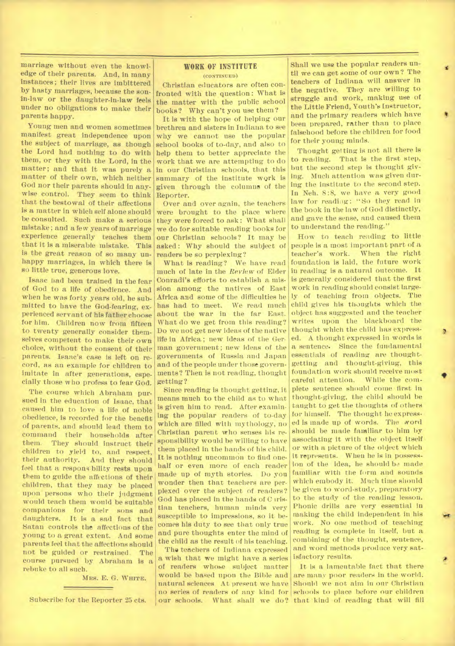marriage without even the knowledge of their parents. And, in many instances; their lives are imbittered by hasty marriages, because the sonin-law or the daughter-in-law feels under no obligations to make their parents happy.

Young men and women sometimes manifest great independence upon the subject of marriage, as though the Lord had nothing to do with them, or they with the Lord, in the matter; and that it was purely a matter of their own, which neither God nor their parents should in anywise control. They seem to think that the bestowal of their affections is a matter in which self alone should be consulted. Such make a serious mistake; and a few years of marriage experience generally teaches them that it is a miserable mistake. This is the great reason of so many unhappy marriages, in which there is so little true, generous love.

Isaac bad been trained in the fear of God to a life of obedience. And when he was forty years old, he submitted to have the God-fearing, experienced servant of his father choose for him. Children now from fifteen to twenty generally consider themselves competent to make their own choice, without the consent of their parents. Isaac's case is left on record, as an example for children to imitate in after generations, especially those who profess to fear God.

The course which Abraham pursued in the education of Isaac, that caused him to love a life of noble obedience, is recorded for the benefit of parents, and should lead them to command their households after<br>them. They should instruct their They should instruct their children to yield to, and respect, their authority. And they should feel that a responsibility rests upon them to guide the affections of their children, that they may be placed upon persons who their judgment would teach them would be suitable companions for their sons and daughters. It is a sad fact that Satan controls the affections of the young to a great extent. And some parents feel that the affections should not be guided or restrained. The course pursued by Abraham is a rebuke to all such.

MRS. E. G. **WHITE.** 

#### **WORK OF INSTITUTE**  (CONTINUED)

Christian educators are often confronted with the question: What is the matter with the public school books? Why can't you use them?

It is with the hope of helping our brethren and sisters in Indiana to see why we cannot use the popular school books of to-day, and also to help them to better appreciate the work that we are attempting to do in our Christian schools, that this summary of the institute wqrk is given through the columns of the Reporter.

Over and over again, the teachers were brought to the place where they were forced to ask : What shall we do for suitable reading books for our Christian schools? It may be asked: Why should the subject of readers be so perplexing?

What is reading? We have read much of late in the *Review* of Elder Conradi's efforts to establish a mission among the natives of East Africa and some of the difficulties he has had to meet. We read much about the war in the far East. What do we get from this reading? Do we not get new ideas of the native life in Africa ; new ideas of the German government; new ideas of the governments of Russia and Japan and of the people under those governments? Then is not reading, thought getting?

Since reading is thought getting, it means much to the child **as** to what. is given him to read. After examining the popular readers of to-day which are filled with mythology, no Christian parent who senses his responsibility would be willing to have them placed in the hands of his child. It is nothing uncommon to find onehalf or even more of each reader made up of myth stories. Do you wonder then that teachers are perplexed over the subject of readers? God has placed in the hands of C iristian teachers, human minds very susceptible to impressions, so it becomes his duty to see that only true and pure thoughts enter the mind of the child as the result of his teaching.

The teachers of Indiana expressed a wish that we might have a series of readers whose subject matter would be based upon the Bible and natural sciences At present we have Subscribe for the Reporter 25 cts. our schools. What shall we do? that kind of reading that will fill

Shall we use the popular readers until we can get some of our own? The teachers of Indiana will answer in the negative. They are willing to struggle and work, making use of the Little Friend, Youth's Instructor, and the primary readers which have been prepared, rather than to place falsehood before the children for food for their young minds.

Thought getting is not all there is to reading. That is the first step, but the second step is thought giving. Much attention was given during the institute to the second step. In Neh. 8:8, we have a very good law for readiug: "So they read in the book in the law of God distinctly, and gave the sense, and caused them to understand the reading."

How to teach reading to little people is a most important part of a teacher's work. When the right foundation is laid, the future work in reading is a natural outcome. It is generally considered that the first work in reading should consist largely of teaching from objects. The child gives his thoughts which the object has suggested and the teacher writes upon the blackboard the thought which the child has expressed. A thought expressed in words is a sentence. Since the fundamental essentials of reading are thoughtgetting and thought-giving, this foundation work should receive most careful attention. While the complete sentence should come first in thought-giving, the child should be taught to get the thoughts of others for himself. The thought he expressed is made up of words. The word should be made familiar to him by associating it with the object itself: or with a picture of the object which it represents. When he is in possession of the idea, he should be made familiar with the form and sounds which embody it. Much time should be given to word-study, preparatory to the study of the reading lesson. Phonic drills are very essential in making the child independent in his work. No one method of teaching reading is complete in itself, but a combining of the thought, sentence, and word methods produce very satisfactory results.

no series of readers of any kind for schools to place before our children It is a lamentable fact that there are many poor readers in the world. Should we not aim in our Christian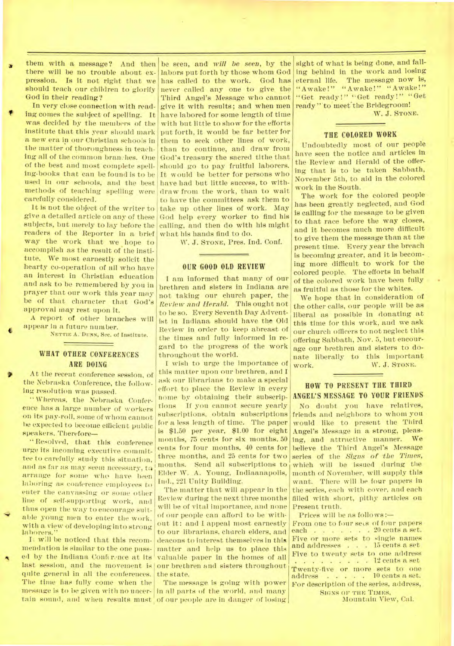them with a message? And then there will be no trouble about expression. Is it not right that we should teach our children to glorify God in their reading?

In very close connection with read ing comes the subject of spelling. It was decided by the members of the institute that this year should mark a new era in our Christian schools in the matter of thoroughness in teaching all of the common branches. One of the best and most complete spelling-books that can be found is to be used in our schools, and the best methods of teaching spelling were carefully considered.

It is not the object of the writer to give a detailed article on any of these subjects, but merely to lay before the readers of the Reporter in a brief way the work that we hope to accomplish as the result of the institute. We most earnestly solicit the hearty co-operation of all who have an interest in Christian education and ask to be remembered by you in prayer that our work this year may be of that character that God's approval *may* rest upon it.

A report of other branches will **4** appear in a future number.

**NETTIE** A.'Dunn, Sec. of Institute.

### **WHAT OTHER CONFERENCES ARE DOING**

At the recent conference session, of the Nebraska Conference, the following resolution was passed.

" Whereas, the Nebraska Conference has a large number of workers on its pay-roll, some of whom cannot be expected to become efficient public speakers, Therefore—

" Resolved, that this conference urge its incoming executive committee to carefully study this situation, and as far as may seem necessary, to arrange for some who have been laboring as conference employees to enter the canvassing or some other line of self-supporting work, and thus open the way to encourage suitable young men to enter the work, with a view of developing into strong laborers."

 $\overline{\phantom{0}}$ It will be noticed that this recommendation is similar to the one passed by the Indiana Conference at its last session, and the movement is our brethren and sisters throughout quite general in all the conferences. The time has fully come when the message is to be given with no uncer-

be seen, and *will be seen,* by the labors put forth by those whom God has called to the work. God has never called any one to give the Third Angel's. Message who cannot give it with results; and when men have labored for some length of time with but little to show for the efforts put forth, it would be far better for them to seek other lines of work, than to continue, and draw from God's treasury the sacred tithe that should go to pay fruitful laborers. It would be better for persons who have had but little success, to withdraw from the work, than to wait to have the committees ask them to take up other lines of work. May God help every worker to find his calling, and then do with his might what his hands find to do.

W. J. STONE, Pres. Ind. Conf.

#### OUR GOOD OLD **REVIEW**

I am informed that many of our brethren and sisters in Indiana are not taking our church paper, the *Review and Herald.* This ought not to he so. Every Seventh Day Adventist in Indiana should have the Old Review in order to keep abreast of the times and fully informed in regard to the progress of the work throughout the world.

I wish to urge the importance of this matter upon our brethren, and I ask our librarians to make a special effort to place the Review in every nome by obtaining their subscriptions If you cannot secure yearly subscriptions, obtain subscriptions fora less length of time. The paper is \$1.50 per year, \$1.00 for eight months, 75 cents for six months. 50 cents for four months, 40 cents for three months, and 25 cents for two months. Send all subscriptions to Elder W. A. Young, Indiaanapolis, Ind., 221 Unity Building.

The matter that will appear in the Review during the next three months will be of vital importance, and none of our people can afford to be without it: and I appeal most earnestly to our librarians, church elders, and deacons to interest themselves in this matter and help us to place this valuable paper in the homes of all the state.

tain sound, and when results must of our people are in danger of losing The message is going with power in all parts of the world, and many

sight of what is being done, and falling behind in the work and losing eternal life. The message now is, "Awake!" "Awake!" "Awake!" "Get ready!" "Get ready!" "Get ready" to meet the Bridegroom! W. J. STONE.

### **THE COLORED WORK**

Undoubtedly most of our people have seen the notice and articles in the Review and Herald of the offering that is to be taken Sabbath, November 5th, to aid in the colored work in the South.

The work for the colored people has been greatly neglected, and God is calling for the message to be given to that race before the way closes, and it becomes much more difficult to give them the message than at the present time. Every year the breach is becoming greater, and it is becoming more difficult to work for the colored people. The efforts in behalf . of the colored work have been fully as fruitful as those for the whites.

We hope that in consideration of the other calls, our people will be as liberal as possible in donating at this time for this work, and we ask our church officers to not neglect this offering Sabbath, Nov. 5, but encourage our brethren and sisters to donate liberally to this important work. W. J. STONE.

#### **HOW TO PRESENT THE THIRD ANGEL'S MESSAGE TO YOUR FRIENDS**

No doubt you have relatives, friends and neighbors to whom you would like to present the Third Angel's Message in a strong, pleasing, and attractive manner. *We*  believe the Third Angel's Message series of the *Signs of the Times,*  which will be issued during the month of November, will supply this want. There will be four papers in the series, each with cover, and each filled with short, pithy articles on Present truth.

Prices will be as follows:—

From one to four sets of four papers each . . . . . . 20 cents a set. Five or more sets to single names and addresses . . . 15 cents a set. Five to twenty sets to one address  $\ldots$   $\ldots$   $\ldots$  12 cents a set Twenty-five or more sets to one  $address$  . . . . 10 cents a set. For description of the series, address,

SIGNS OF THE TIMES, Mountain View, Cal.